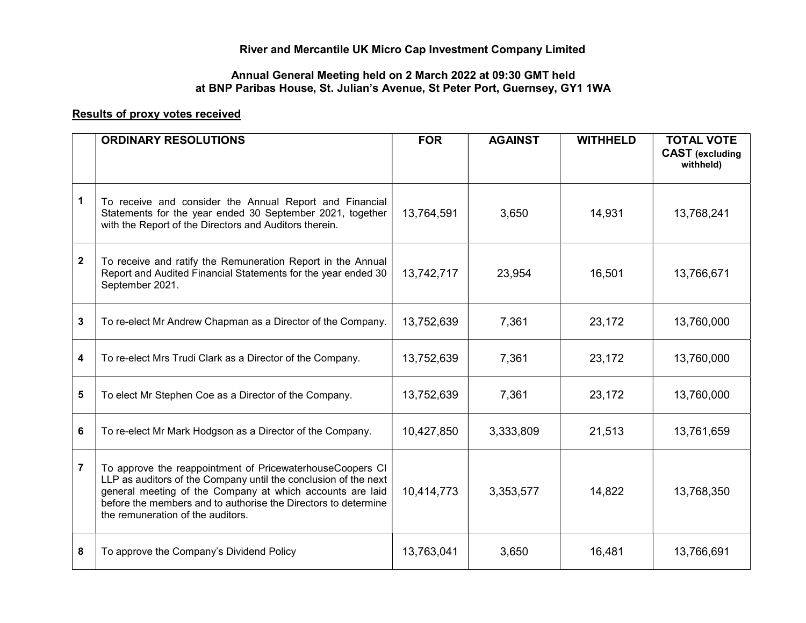## River and Mercantile UK Micro Cap Investment Company Limited

## Annual General Meeting held on 2 March 2022 at 09:30 GMT held at BNP Paribas House, St. Julian's Avenue, St Peter Port, Guernsey, GY1 1WA

## Results of proxy votes received

|                | <b>ORDINARY RESOLUTIONS</b>                                                                                                                                                                                                                                                                      | <b>FOR</b> | <b>AGAINST</b> | <b>WITHHELD</b> | <b>TOTAL VOTE</b><br><b>CAST</b> (excluding<br>withheld) |
|----------------|--------------------------------------------------------------------------------------------------------------------------------------------------------------------------------------------------------------------------------------------------------------------------------------------------|------------|----------------|-----------------|----------------------------------------------------------|
| 1              | To receive and consider the Annual Report and Financial<br>Statements for the year ended 30 September 2021, together<br>with the Report of the Directors and Auditors therein.                                                                                                                   | 13,764,591 | 3,650          | 14,931          | 13,768,241                                               |
| $\mathbf{2}$   | To receive and ratify the Remuneration Report in the Annual<br>Report and Audited Financial Statements for the year ended 30<br>September 2021.                                                                                                                                                  | 13,742,717 | 23,954         | 16,501          | 13,766,671                                               |
| 3              | To re-elect Mr Andrew Chapman as a Director of the Company.                                                                                                                                                                                                                                      | 13,752,639 | 7,361          | 23,172          | 13,760,000                                               |
| 4              | To re-elect Mrs Trudi Clark as a Director of the Company.                                                                                                                                                                                                                                        | 13,752,639 | 7,361          | 23,172          | 13,760,000                                               |
| 5              | To elect Mr Stephen Coe as a Director of the Company.                                                                                                                                                                                                                                            | 13,752,639 | 7,361          | 23,172          | 13,760,000                                               |
| 6              | To re-elect Mr Mark Hodgson as a Director of the Company.                                                                                                                                                                                                                                        | 10,427,850 | 3,333,809      | 21,513          | 13,761,659                                               |
| $\overline{7}$ | To approve the reappointment of PricewaterhouseCoopers CI<br>LLP as auditors of the Company until the conclusion of the next<br>general meeting of the Company at which accounts are laid<br>before the members and to authorise the Directors to determine<br>the remuneration of the auditors. | 10,414,773 | 3,353,577      | 14,822          | 13,768,350                                               |
| 8              | To approve the Company's Dividend Policy                                                                                                                                                                                                                                                         | 13,763,041 | 3,650          | 16,481          | 13,766,691                                               |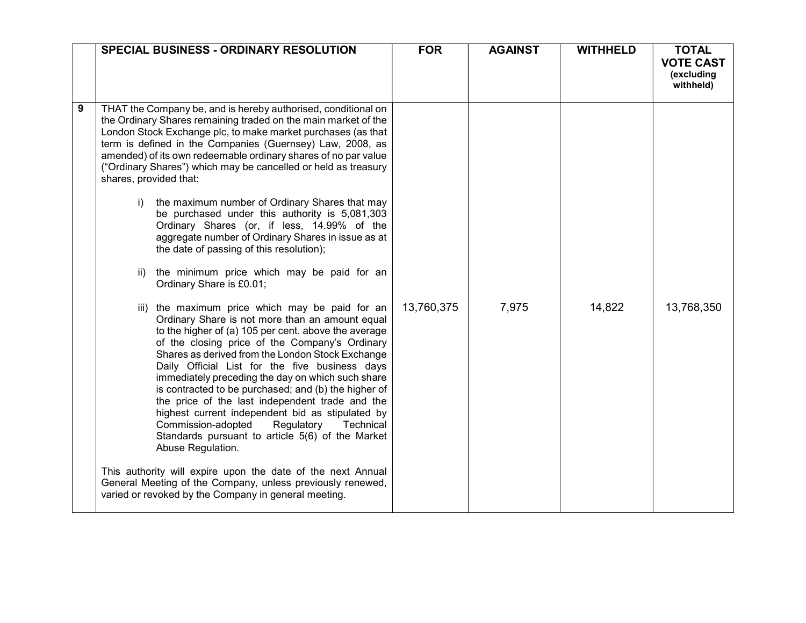|   | <b>SPECIAL BUSINESS - ORDINARY RESOLUTION</b>                                                                                                                                                                                                                                                                                                                                                                                                                                                                                                                                                                                                                                                                                                                                                                                                                                                                                                                                                                                                                                                                                                                                                                                                                                                                                                                                                                                    | <b>FOR</b> | <b>AGAINST</b> | <b>WITHHELD</b> | <b>TOTAL</b><br><b>VOTE CAST</b><br>(excluding<br>withheld) |
|---|----------------------------------------------------------------------------------------------------------------------------------------------------------------------------------------------------------------------------------------------------------------------------------------------------------------------------------------------------------------------------------------------------------------------------------------------------------------------------------------------------------------------------------------------------------------------------------------------------------------------------------------------------------------------------------------------------------------------------------------------------------------------------------------------------------------------------------------------------------------------------------------------------------------------------------------------------------------------------------------------------------------------------------------------------------------------------------------------------------------------------------------------------------------------------------------------------------------------------------------------------------------------------------------------------------------------------------------------------------------------------------------------------------------------------------|------------|----------------|-----------------|-------------------------------------------------------------|
| 9 | THAT the Company be, and is hereby authorised, conditional on<br>the Ordinary Shares remaining traded on the main market of the<br>London Stock Exchange plc, to make market purchases (as that<br>term is defined in the Companies (Guernsey) Law, 2008, as<br>amended) of its own redeemable ordinary shares of no par value<br>("Ordinary Shares") which may be cancelled or held as treasury<br>shares, provided that:<br>the maximum number of Ordinary Shares that may<br>$\vert \vert$<br>be purchased under this authority is 5,081,303<br>Ordinary Shares (or, if less, 14.99% of the<br>aggregate number of Ordinary Shares in issue as at<br>the date of passing of this resolution);<br>the minimum price which may be paid for an<br>ii)<br>Ordinary Share is £0.01;<br>iii) the maximum price which may be paid for an<br>Ordinary Share is not more than an amount equal<br>to the higher of (a) 105 per cent. above the average<br>of the closing price of the Company's Ordinary<br>Shares as derived from the London Stock Exchange<br>Daily Official List for the five business days<br>immediately preceding the day on which such share<br>is contracted to be purchased; and (b) the higher of<br>the price of the last independent trade and the<br>highest current independent bid as stipulated by<br>Regulatory<br>Commission-adopted<br>Technical<br>Standards pursuant to article 5(6) of the Market | 13,760,375 | 7,975          | 14,822          | 13,768,350                                                  |
|   | Abuse Regulation.<br>This authority will expire upon the date of the next Annual<br>General Meeting of the Company, unless previously renewed,<br>varied or revoked by the Company in general meeting.                                                                                                                                                                                                                                                                                                                                                                                                                                                                                                                                                                                                                                                                                                                                                                                                                                                                                                                                                                                                                                                                                                                                                                                                                           |            |                |                 |                                                             |